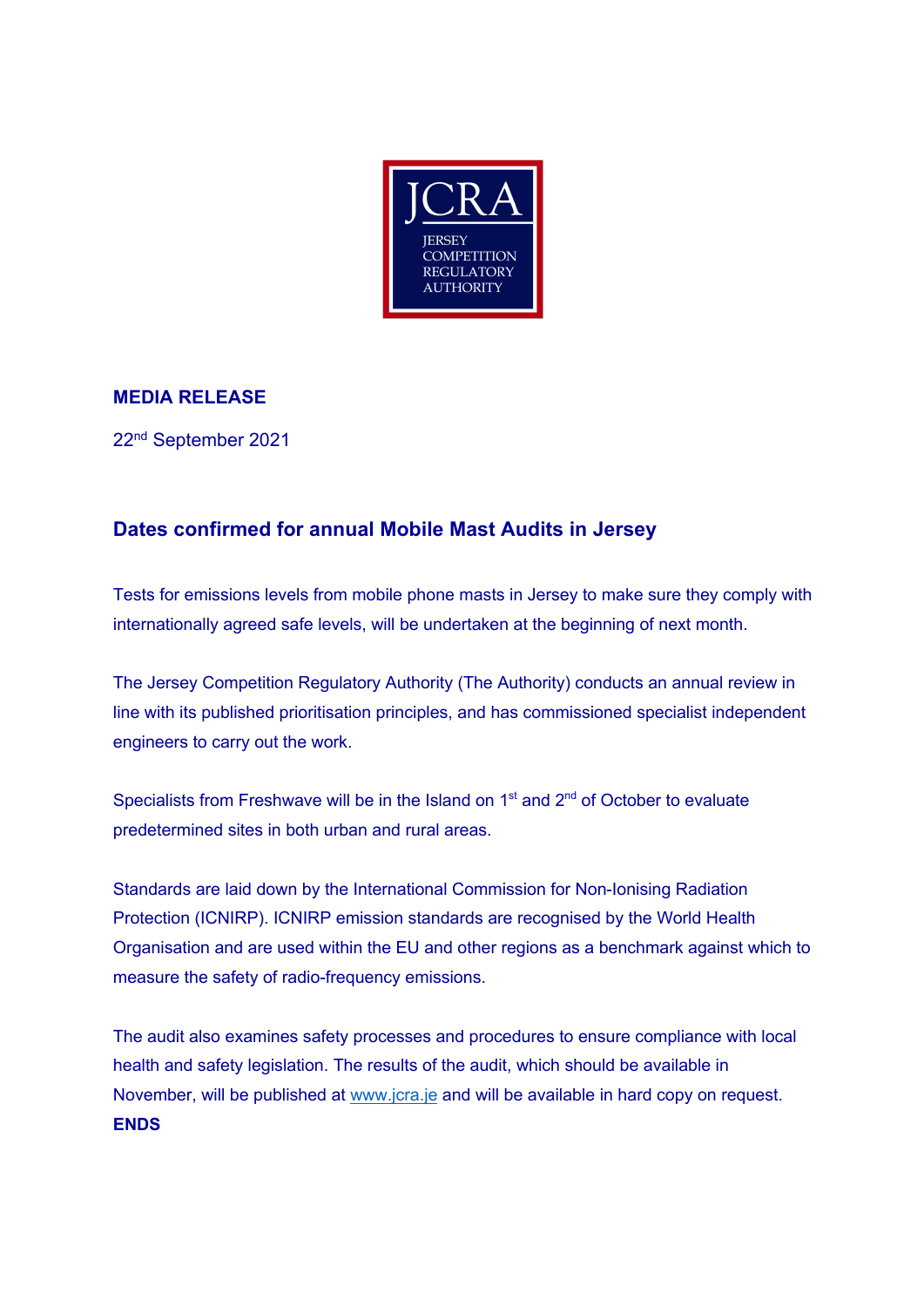

## **MEDIA RELEASE**

22nd September 2021

## **Dates confirmed for annual Mobile Mast Audits in Jersey**

Tests for emissions levels from mobile phone masts in Jersey to make sure they comply with internationally agreed safe levels, will be undertaken at the beginning of next month.

The Jersey Competition Regulatory Authority (The Authority) conducts an annual review in line with its published prioritisation principles, and has commissioned specialist independent engineers to carry out the work.

Specialists from Freshwave will be in the Island on  $1<sup>st</sup>$  and  $2<sup>nd</sup>$  of October to evaluate predetermined sites in both urban and rural areas.

Standards are laid down by the International Commission for Non-Ionising Radiation Protection (ICNIRP). ICNIRP emission standards are recognised by the World Health Organisation and are used within the EU and other regions as a benchmark against which to measure the safety of radio-frequency emissions.

The audit also examines safety processes and procedures to ensure compliance with local health and safety legislation. The results of the audit, which should be available in November, will be published at www.jcra.je and will be available in hard copy on request. **ENDS**